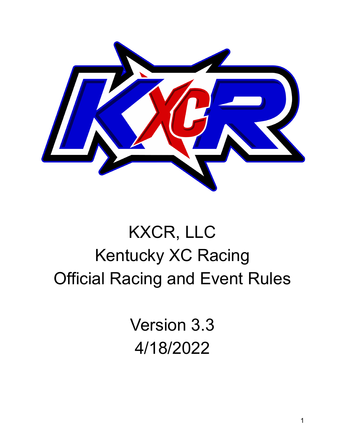

# KXCR, LLC Kentucky XC Racing Official Racing and Event Rules

Version 3.3 4/18/2022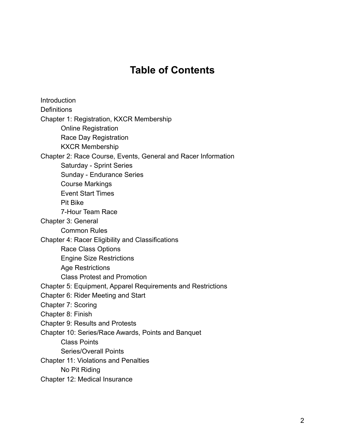### **Table of Contents**

**Introduction Definitions** Chapter 1: Registration, KXCR Membership Online Registration Race Day Registration KXCR Membership Chapter 2: Race Course, Events, General and Racer Information Saturday - Sprint Series Sunday - Endurance Series Course Markings Event Start Times Pit Bike 7-Hour Team Race Chapter 3: General Common Rules Chapter 4: Racer Eligibility and Classifications Race Class Options Engine Size Restrictions Age Restrictions Class Protest and Promotion Chapter 5: Equipment, Apparel Requirements and Restrictions Chapter 6: Rider Meeting and Start Chapter 7: Scoring Chapter 8: Finish Chapter 9: Results and Protests Chapter 10: Series/Race Awards, Points and Banquet Class Points Series/Overall Points Chapter 11: Violations and Penalties No Pit Riding Chapter 12: Medical Insurance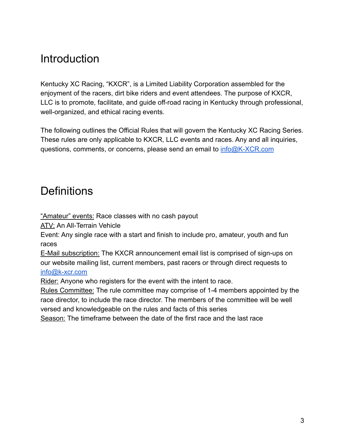### **Introduction**

Kentucky XC Racing, "KXCR", is a Limited Liability Corporation assembled for the enjoyment of the racers, dirt bike riders and event attendees. The purpose of KXCR, LLC is to promote, facilitate, and guide off-road racing in Kentucky through professional, well-organized, and ethical racing events.

The following outlines the Official Rules that will govern the Kentucky XC Racing Series. These rules are only applicable to KXCR, LLC events and races. Any and all inquiries, questions, comments, or concerns, please send an email to [info@K-XCR.com](mailto:info@K-XCR.com)

### **Definitions**

"Amateur" events: Race classes with no cash payout

ATV: An All-Terrain Vehicle

Event: Any single race with a start and finish to include pro, amateur, youth and fun races

E-Mail subscription: The KXCR announcement email list is comprised of sign-ups on our website mailing list, current members, past racers or through direct requests to [info@k-xcr.com](mailto:info@k-xcr.com)

Rider: Anyone who registers for the event with the intent to race.

Rules Committee: The rule committee may comprise of 1-4 members appointed by the race director, to include the race director. The members of the committee will be well versed and knowledgeable on the rules and facts of this series

Season: The timeframe between the date of the first race and the last race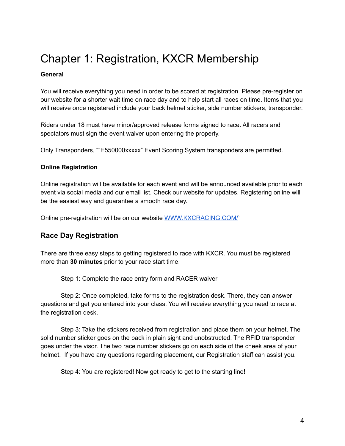### Chapter 1: Registration, KXCR Membership

#### **General**

You will receive everything you need in order to be scored at registration. Please pre-register on our website for a shorter wait time on race day and to help start all races on time. Items that you will receive once registered include your back helmet sticker, side number stickers, transponder.

Riders under 18 must have minor/approved release forms signed to race. All racers and spectators must sign the event waiver upon entering the property.

Only Transponders, ""E550000xxxxx" Event Scoring System transponders are permitted.

#### **Online Registration**

Online registration will be available for each event and will be announced available prior to each event via social media and our email list. Check our website for updates. Registering online will be the easiest way and guarantee a smooth race day.

Online pre-registration will be on our website [WWW.KXCRACING.COM/`](http://www.kxcracing.com/Events)

#### **Race Day Registration**

There are three easy steps to getting registered to race with KXCR. You must be registered more than **30 minutes** prior to your race start time.

Step 1: Complete the race entry form and RACER waiver

Step 2: Once completed, take forms to the registration desk. There, they can answer questions and get you entered into your class. You will receive everything you need to race at the registration desk.

Step 3: Take the stickers received from registration and place them on your helmet. The solid number sticker goes on the back in plain sight and unobstructed. The RFID transponder goes under the visor. The two race number stickers go on each side of the cheek area of your helmet. If you have any questions regarding placement, our Registration staff can assist you.

Step 4: You are registered! Now get ready to get to the starting line!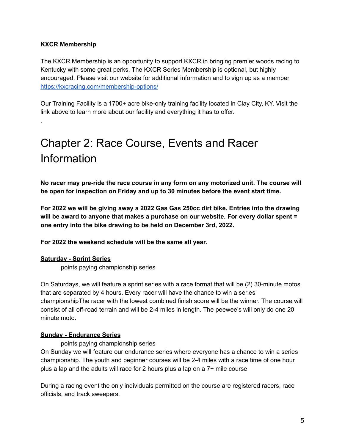#### **KXCR Membership**

.

The KXCR Membership is an opportunity to support KXCR in bringing premier woods racing to Kentucky with some great perks. The KXCR Series Membership is optional, but highly encouraged. Please visit our website for additional information and to sign up as a member <https://kxcracing.com/membership-options/>

Our Training Facility is a 1700+ acre bike-only training facility located in Clay City, KY. Visit the link above to learn more about our facility and everything it has to offer.

## Chapter 2: Race Course, Events and Racer Information

**No racer may pre-ride the race course in any form on any motorized unit. The course will be open for inspection on Friday and up to 30 minutes before the event start time.**

**For 2022 we will be giving away a 2022 Gas Gas 250cc dirt bike. Entries into the drawing will be award to anyone that makes a purchase on our website. For every dollar spent = one entry into the bike drawing to be held on December 3rd, 2022.**

**For 2022 the weekend schedule will be the same all year.**

#### **Saturday - Sprint Series**

points paying championship series

On Saturdays, we will feature a sprint series with a race format that will be (2) 30-minute motos that are separated by 4 hours. Every racer will have the chance to win a series championshipThe racer with the lowest combined finish score will be the winner. The course will consist of all off-road terrain and will be 2-4 miles in length. The peewee's will only do one 20 minute moto.

#### **Sunday - Endurance Series**

points paying championship series On Sunday we will feature our endurance series where everyone has a chance to win a series championship. The youth and beginner courses will be 2-4 miles with a race time of one hour plus a lap and the adults will race for 2 hours plus a lap on a 7+ mile course

During a racing event the only individuals permitted on the course are registered racers, race officials, and track sweepers.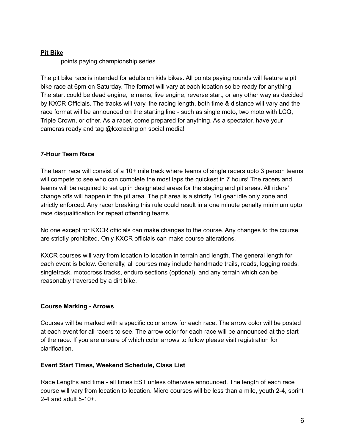#### **Pit Bike**

points paying championship series

The pit bike race is intended for adults on kids bikes. All points paying rounds will feature a pit bike race at 6pm on Saturday. The format will vary at each location so be ready for anything. The start could be dead engine, le mans, live engine, reverse start, or any other way as decided by KXCR Officials. The tracks will vary, the racing length, both time & distance will vary and the race format will be announced on the starting line - such as single moto, two moto with LCQ, Triple Crown, or other. As a racer, come prepared for anything. As a spectator, have your cameras ready and tag @kxcracing on social media!

#### **7-Hour Team Race**

The team race will consist of a 10+ mile track where teams of single racers upto 3 person teams will compete to see who can complete the most laps the quickest in 7 hours! The racers and teams will be required to set up in designated areas for the staging and pit areas. All riders' change offs will happen in the pit area. The pit area is a strictly 1st gear idle only zone and strictly enforced. Any racer breaking this rule could result in a one minute penalty minimum upto race disqualification for repeat offending teams

No one except for KXCR officials can make changes to the course. Any changes to the course are strictly prohibited. Only KXCR officials can make course alterations.

KXCR courses will vary from location to location in terrain and length. The general length for each event is below. Generally, all courses may include handmade trails, roads, logging roads, singletrack, motocross tracks, enduro sections (optional), and any terrain which can be reasonably traversed by a dirt bike.

#### **Course Marking - Arrows**

Courses will be marked with a specific color arrow for each race. The arrow color will be posted at each event for all racers to see. The arrow color for each race will be announced at the start of the race. If you are unsure of which color arrows to follow please visit registration for clarification.

#### **Event Start Times, Weekend Schedule, Class List**

Race Lengths and time - all times EST unless otherwise announced. The length of each race course will vary from location to location. Micro courses will be less than a mile, youth 2-4, sprint 2-4 and adult 5-10+.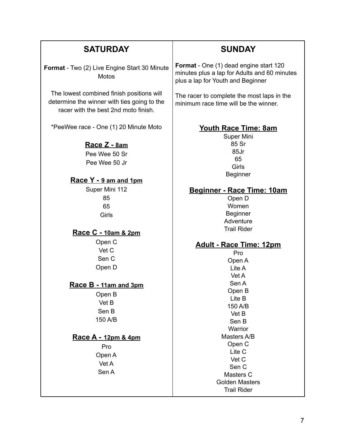| <b>SATURDAY</b>                                                                                                                                                         | <b>SUNDAY</b>                                                                                                                                                                                                                                            |
|-------------------------------------------------------------------------------------------------------------------------------------------------------------------------|----------------------------------------------------------------------------------------------------------------------------------------------------------------------------------------------------------------------------------------------------------|
| Format - Two (2) Live Engine Start 30 Minute<br><b>Motos</b>                                                                                                            | Format - One (1) dead engine start 120<br>minutes plus a lap for Adults and 60 minutes<br>plus a lap for Youth and Beginner                                                                                                                              |
| The lowest combined finish positions will<br>determine the winner with ties going to the<br>racer with the best 2nd moto finish.                                        | The racer to complete the most laps in the<br>minimum race time will be the winner.                                                                                                                                                                      |
| *PeeWee race - One (1) 20 Minute Moto<br>Race Z - 8am<br>Pee Wee 50 Sr                                                                                                  | <b>Youth Race Time: 8am</b><br>Super Mini<br>85 Sr<br>85Jr<br>65                                                                                                                                                                                         |
| Pee Wee 50 Jr<br>Race Y - 9 am and 1pm                                                                                                                                  | Girls<br><b>Beginner</b>                                                                                                                                                                                                                                 |
| Super Mini 112<br>85<br>65<br>Girls                                                                                                                                     | Beginner - Race Time: 10am<br>Open D<br>Women<br><b>Beginner</b><br>Adventure                                                                                                                                                                            |
| <u>Race C - 10am &amp; 2pm</u>                                                                                                                                          | <b>Trail Rider</b>                                                                                                                                                                                                                                       |
| Open C<br>Vet C<br>Sen C<br>Open D<br>Race B - 11am and 3pm<br>Open B<br>Vet B<br>Sen B<br>150 A/B<br><u>Race A - 12pm &amp; 4pm</u><br>Pro<br>Open A<br>Vet A<br>Sen A | <b>Adult - Race Time: 12pm</b><br>Pro<br>Open A<br>Lite A<br>Vet A<br>Sen A<br>Open B<br>Lite B<br>150 A/B<br>Vet B<br>Sen B<br>Warrior<br>Masters A/B<br>Open C<br>Lite C<br>Vet C<br>Sen C<br>Masters C<br><b>Golden Masters</b><br><b>Trail Rider</b> |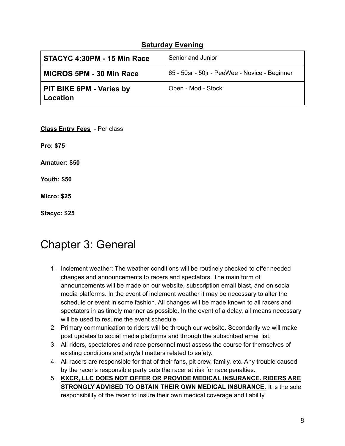#### **Saturday Evening**

| STACYC 4:30PM - 15 Min Race                        | Senior and Junior                             |  |
|----------------------------------------------------|-----------------------------------------------|--|
| MICROS 5PM - 30 Min Race                           | 65 - 50sr - 50jr - PeeWee - Novice - Beginner |  |
| <b>PIT BIKE 6PM - Varies by</b><br><b>Location</b> | Open - Mod - Stock                            |  |

**Class Entry Fees** - Per class **Pro: \$75 Amatuer: \$50 Youth: \$50 Micro: \$25 Stacyc: \$25**

### Chapter 3: General

- 1. Inclement weather: The weather conditions will be routinely checked to offer needed changes and announcements to racers and spectators. The main form of announcements will be made on our website, subscription email blast, and on social media platforms. In the event of inclement weather it may be necessary to alter the schedule or event in some fashion. All changes will be made known to all racers and spectators in as timely manner as possible. In the event of a delay, all means necessary will be used to resume the event schedule.
- 2. Primary communication to riders will be through our website. Secondarily we will make post updates to social media platforms and through the subscribed email list.
- 3. All riders, spectatores and race personnel must assess the course for themselves of existing conditions and any/all matters related to safety.
- 4. All racers are responsible for that of their fans, pit crew, family, etc. Any trouble caused by the racer's responsible party puts the racer at risk for race penalties.
- 5. **KXCR, LLC DOES NOT OFFER OR PROVIDE MEDICAL INSURANCE. RIDERS ARE STRONGLY ADVISED TO OBTAIN THEIR OWN MEDICAL INSURANCE.** It is the sole responsibility of the racer to insure their own medical coverage and liability.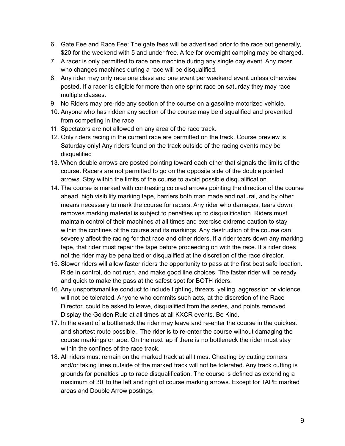- 6. Gate Fee and Race Fee: The gate fees will be advertised prior to the race but generally, \$20 for the weekend with 5 and under free. A fee for overnight camping may be charged.
- 7. A racer is only permitted to race one machine during any single day event. Any racer who changes machines during a race will be disqualified.
- 8. Any rider may only race one class and one event per weekend event unless otherwise posted. If a racer is eligible for more than one sprint race on saturday they may race multiple classes.
- 9. No Riders may pre-ride any section of the course on a gasoline motorized vehicle.
- 10. Anyone who has ridden any section of the course may be disqualified and prevented from competing in the race.
- 11. Spectators are not allowed on any area of the race track.
- 12. Only riders racing in the current race are permitted on the track. Course preview is Saturday only! Any riders found on the track outside of the racing events may be disqualified
- 13. When double arrows are posted pointing toward each other that signals the limits of the course. Racers are not permitted to go on the opposite side of the double pointed arrows. Stay within the limits of the course to avoid possible disqualification.
- 14. The course is marked with contrasting colored arrows pointing the direction of the course ahead, high visibility marking tape, barriers both man made and natural, and by other means necessary to mark the course for racers. Any rider who damages, tears down, removes marking material is subject to penalties up to disqualification. Riders must maintain control of their machines at all times and exercise extreme caution to stay within the confines of the course and its markings. Any destruction of the course can severely affect the racing for that race and other riders. If a rider tears down any marking tape, that rider must repair the tape before proceeding on with the race. If a rider does not the rider may be penalized or disqualified at the discretion of the race director.
- 15. Slower riders will allow faster riders the opportunity to pass at the first best safe location. Ride in control, do not rush, and make good line choices. The faster rider will be ready and quick to make the pass at the safest spot for BOTH riders.
- 16. Any unsportsmanlike conduct to include fighting, threats, yelling, aggression or violence will not be tolerated. Anyone who commits such acts, at the discretion of the Race Director, could be asked to leave, disqualified from the series, and points removed. Display the Golden Rule at all times at all KXCR events. Be Kind.
- 17. In the event of a bottleneck the rider may leave and re-enter the course in the quickest and shortest route possible. The rider is to re-enter the course without damaging the course markings or tape. On the next lap if there is no bottleneck the rider must stay within the confines of the race track.
- 18. All riders must remain on the marked track at all times. Cheating by cutting corners and/or taking lines outside of the marked track will not be tolerated. Any track cutting is grounds for penalties up to race disqualification. The course is defined as extending a maximum of 30' to the left and right of course marking arrows. Except for TAPE marked areas and Double Arrow postings.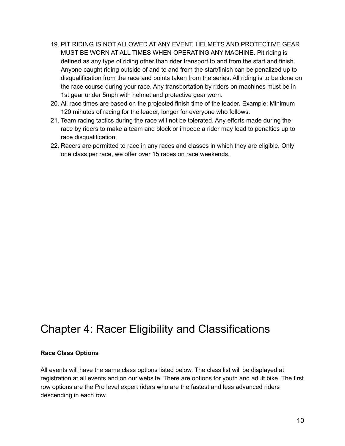- 19. PIT RIDING IS NOT ALLOWED AT ANY EVENT. HELMETS AND PROTECTIVE GEAR MUST BE WORN AT ALL TIMES WHEN OPERATING ANY MACHINE. Pit riding is defined as any type of riding other than rider transport to and from the start and finish. Anyone caught riding outside of and to and from the start/finish can be penalized up to disqualification from the race and points taken from the series. All riding is to be done on the race course during your race. Any transportation by riders on machines must be in 1st gear under 5mph with helmet and protective gear worn.
- 20. All race times are based on the projected finish time of the leader. Example: Minimum 120 minutes of racing for the leader, longer for everyone who follows.
- 21. Team racing tactics during the race will not be tolerated. Any efforts made during the race by riders to make a team and block or impede a rider may lead to penalties up to race disqualification.
- 22. Racers are permitted to race in any races and classes in which they are eligible. Only one class per race, we offer over 15 races on race weekends.

### Chapter 4: Racer Eligibility and Classifications

#### **Race Class Options**

All events will have the same class options listed below. The class list will be displayed at registration at all events and on our website. There are options for youth and adult bike. The first row options are the Pro level expert riders who are the fastest and less advanced riders descending in each row.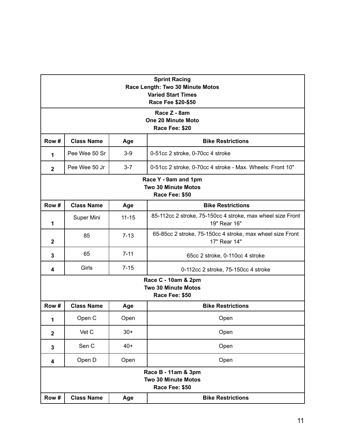| <b>Sprint Racing</b><br>Race Length: Two 30 Minute Motos<br><b>Varied Start Times</b><br>Race Fee \$20-\$50 |                                                                      |           |                                                                            |  |  |
|-------------------------------------------------------------------------------------------------------------|----------------------------------------------------------------------|-----------|----------------------------------------------------------------------------|--|--|
|                                                                                                             | Race Z - 8am<br>One 20 Minute Moto<br>Race Fee: \$20                 |           |                                                                            |  |  |
| Row #                                                                                                       | <b>Class Name</b><br><b>Bike Restrictions</b><br>Age                 |           |                                                                            |  |  |
| 1                                                                                                           | Pee Wee 50 Sr                                                        | $3-9$     | 0-51cc 2 stroke, 0-70cc 4 stroke                                           |  |  |
| $\mathbf{2}$                                                                                                | Pee Wee 50 Jr                                                        | $3 - 7$   | 0-51cc 2 stroke, 0-70cc 4 stroke - Max. Wheels: Front 10"                  |  |  |
|                                                                                                             | Race Y - 9am and 1pm<br><b>Two 30 Minute Motos</b><br>Race Fee: \$50 |           |                                                                            |  |  |
| Row #                                                                                                       | <b>Class Name</b><br><b>Bike Restrictions</b><br>Age                 |           |                                                                            |  |  |
| 1                                                                                                           | Super Mini                                                           | $11 - 15$ | 85-112cc 2 stroke, 75-150cc 4 stroke, max wheel size Front<br>19" Rear 16" |  |  |
| $\mathbf{2}$                                                                                                | 85                                                                   | $7 - 13$  | 65-85cc 2 stroke, 75-150cc 4 stroke, max wheel size Front<br>17" Rear 14"  |  |  |
| 3                                                                                                           | 65                                                                   | $7 - 11$  | 65cc 2 stroke, 0-110cc 4 stroke                                            |  |  |
| 4                                                                                                           | Girls                                                                | $7 - 15$  | 0-112cc 2 stroke, 75-150cc 4 stroke                                        |  |  |
|                                                                                                             | Race C - 10am & 2pm<br><b>Two 30 Minute Motos</b><br>Race Fee: \$50  |           |                                                                            |  |  |
| Row #                                                                                                       | <b>Class Name</b>                                                    | Age       | <b>Bike Restrictions</b>                                                   |  |  |
| 1                                                                                                           | Open C                                                               | Open      | Open                                                                       |  |  |
| $\overline{2}$                                                                                              | Vet C                                                                | $30+$     | Open                                                                       |  |  |
| 3                                                                                                           | Sen C                                                                | $40+$     | Open                                                                       |  |  |
| 4                                                                                                           | Open D                                                               | Open      | Open                                                                       |  |  |
|                                                                                                             | Race B - 11am & 3pm<br><b>Two 30 Minute Motos</b><br>Race Fee: \$50  |           |                                                                            |  |  |
| Row #                                                                                                       | <b>Class Name</b><br><b>Bike Restrictions</b><br>Age                 |           |                                                                            |  |  |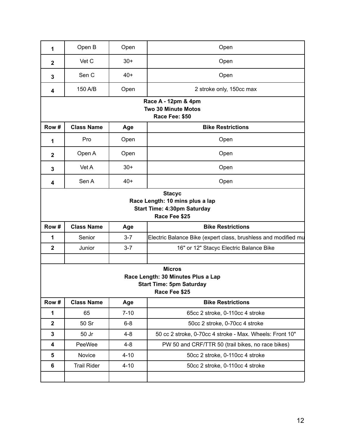| 1                                                                                      | Open B             | Open     | Open                                                                                   |  |
|----------------------------------------------------------------------------------------|--------------------|----------|----------------------------------------------------------------------------------------|--|
|                                                                                        |                    |          |                                                                                        |  |
| $\mathbf 2$                                                                            | Vet C              | $30+$    | Open                                                                                   |  |
| 3                                                                                      | Sen C              | 40+      | Open                                                                                   |  |
| 4                                                                                      | 150 A/B            | Open     | 2 stroke only, 150cc max                                                               |  |
|                                                                                        |                    |          | Race A - 12pm & 4pm<br><b>Two 30 Minute Motos</b><br>Race Fee: \$50                    |  |
| Row #                                                                                  | <b>Class Name</b>  | Age      | <b>Bike Restrictions</b>                                                               |  |
| 1                                                                                      | Pro                | Open     | Open                                                                                   |  |
| $\mathbf 2$                                                                            | Open A             | Open     | Open                                                                                   |  |
| 3                                                                                      | Vet A              | $30+$    | Open                                                                                   |  |
| 4                                                                                      | Sen A              | $40+$    | Open                                                                                   |  |
|                                                                                        |                    |          | Race Length: 10 mins plus a lap<br><b>Start Time: 4:30pm Saturday</b><br>Race Fee \$25 |  |
| Row #<br><b>Class Name</b><br><b>Bike Restrictions</b><br>Age                          |                    |          |                                                                                        |  |
| 1                                                                                      | Senior             | $3 - 7$  | Electric Balance Bike (expert class, brushless and modified mu                         |  |
| $\mathbf 2$                                                                            | Junior             | $3 - 7$  | 16" or 12" Stacyc Electric Balance Bike                                                |  |
|                                                                                        |                    |          | <b>Micros</b>                                                                          |  |
| Race Length: 30 Minutes Plus a Lap<br><b>Start Time: 5pm Saturday</b><br>Race Fee \$25 |                    |          |                                                                                        |  |
|                                                                                        |                    |          |                                                                                        |  |
| Row #                                                                                  | <b>Class Name</b>  | Age      | <b>Bike Restrictions</b>                                                               |  |
| 1                                                                                      | 65                 | $7 - 10$ | 65cc 2 stroke, 0-110cc 4 stroke                                                        |  |
| $\mathbf 2$                                                                            | 50 Sr              | $6-8$    | 50cc 2 stroke, 0-70cc 4 stroke                                                         |  |
| $\mathbf 3$                                                                            | 50 Jr              | $4 - 8$  | 50 cc 2 stroke, 0-70cc 4 stroke - Max. Wheels: Front 10"                               |  |
| 4                                                                                      | PeeWee             | $4 - 8$  | PW 50 and CRF/TTR 50 (trail bikes, no race bikes)                                      |  |
| 5                                                                                      | Novice             | $4 - 10$ | 50cc 2 stroke, 0-110cc 4 stroke                                                        |  |
| 6                                                                                      | <b>Trail Rider</b> | $4 - 10$ | 50cc 2 stroke, 0-110cc 4 stroke                                                        |  |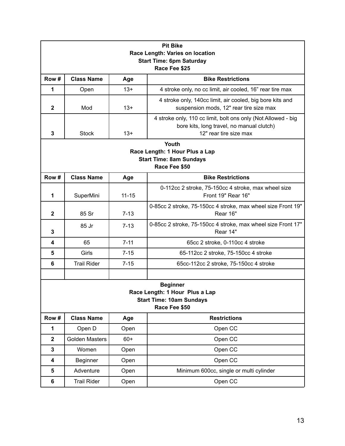| <b>Pit Bike</b><br>Race Length: Varies on location<br><b>Start Time: 6pm Saturday</b> |                                                                                                       |           |                                                                                                                                      |  |  |
|---------------------------------------------------------------------------------------|-------------------------------------------------------------------------------------------------------|-----------|--------------------------------------------------------------------------------------------------------------------------------------|--|--|
|                                                                                       | Race Fee \$25                                                                                         |           |                                                                                                                                      |  |  |
| Row#<br><b>Class Name</b><br><b>Bike Restrictions</b><br>Age                          |                                                                                                       |           |                                                                                                                                      |  |  |
| 1                                                                                     | Open                                                                                                  | $13+$     | 4 stroke only, no cc limit, air cooled, 16" rear tire max                                                                            |  |  |
| $\mathbf{2}$                                                                          | Mod                                                                                                   | $13+$     | 4 stroke only, 140cc limit, air cooled, big bore kits and<br>suspension mods, 12" rear tire size max                                 |  |  |
| 3                                                                                     | <b>Stock</b>                                                                                          | $13+$     | 4 stroke only, 110 cc limit, bolt ons only (Not Allowed - big<br>bore kits, long travel, no manual clutch)<br>12" rear tire size max |  |  |
|                                                                                       |                                                                                                       |           | Youth<br>Race Length: 1 Hour Plus a Lap<br><b>Start Time: 8am Sundays</b>                                                            |  |  |
|                                                                                       |                                                                                                       |           | Race Fee \$50                                                                                                                        |  |  |
| Row#                                                                                  | <b>Class Name</b><br><b>Bike Restrictions</b><br>Age                                                  |           |                                                                                                                                      |  |  |
| 1                                                                                     | SuperMini                                                                                             | $11 - 15$ | 0-112cc 2 stroke, 75-150cc 4 stroke, max wheel size<br>Front 19" Rear 16"                                                            |  |  |
| $\mathbf{2}$                                                                          | 85 Sr                                                                                                 | $7 - 13$  | 0-85cc 2 stroke, 75-150cc 4 stroke, max wheel size Front 19"<br>Rear 16"                                                             |  |  |
| 3                                                                                     | 85 Jr                                                                                                 | $7 - 13$  | 0-85cc 2 stroke, 75-150cc 4 stroke, max wheel size Front 17"<br>Rear 14"                                                             |  |  |
| 4                                                                                     | 65                                                                                                    | $7 - 11$  | 65cc 2 stroke, 0-110cc 4 stroke                                                                                                      |  |  |
| 5                                                                                     | Girls                                                                                                 | $7 - 15$  | 65-112cc 2 stroke, 75-150cc 4 stroke                                                                                                 |  |  |
| 6                                                                                     | <b>Trail Rider</b>                                                                                    | $7 - 15$  | 65cc-112cc 2 stroke, 75-150cc 4 stroke                                                                                               |  |  |
|                                                                                       |                                                                                                       |           |                                                                                                                                      |  |  |
|                                                                                       | <b>Beginner</b><br>Race Length: 1 Hour Plus a Lap<br><b>Start Time: 10am Sundays</b><br>Race Fee \$50 |           |                                                                                                                                      |  |  |
| Row #                                                                                 | <b>Class Name</b>                                                                                     | Age       | <b>Restrictions</b>                                                                                                                  |  |  |
| 1                                                                                     | Open D                                                                                                | Open      | Open CC                                                                                                                              |  |  |
| $\overline{\mathbf{2}}$                                                               | <b>Golden Masters</b>                                                                                 | $60+$     | Open CC                                                                                                                              |  |  |
| 3                                                                                     | Women                                                                                                 | Open      | Open CC                                                                                                                              |  |  |
| 4                                                                                     | <b>Beginner</b>                                                                                       | Open      | Open CC                                                                                                                              |  |  |
| 5                                                                                     | Adventure                                                                                             | Open      | Minimum 600cc, single or multi cylinder                                                                                              |  |  |
| 6                                                                                     | <b>Trail Rider</b>                                                                                    | Open      | Open CC                                                                                                                              |  |  |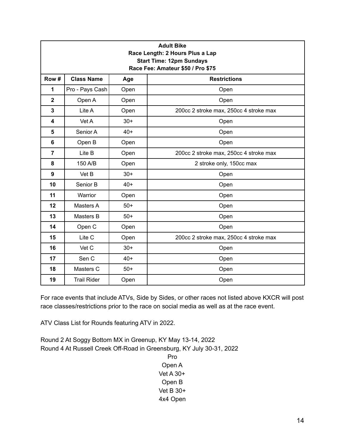| <b>Adult Bike</b><br>Race Length: 2 Hours Plus a Lap<br><b>Start Time: 12pm Sundays</b><br>Race Fee: Amateur \$50 / Pro \$75 |                                                 |       |                                        |  |  |  |
|------------------------------------------------------------------------------------------------------------------------------|-------------------------------------------------|-------|----------------------------------------|--|--|--|
| Row #                                                                                                                        | <b>Class Name</b><br><b>Restrictions</b><br>Age |       |                                        |  |  |  |
| 1                                                                                                                            | Pro - Pays Cash                                 | Open  | Open                                   |  |  |  |
| $\overline{2}$                                                                                                               | Open A                                          | Open  | Open                                   |  |  |  |
| 3                                                                                                                            | Lite A                                          | Open  | 200cc 2 stroke max, 250cc 4 stroke max |  |  |  |
| 4                                                                                                                            | Vet A                                           | $30+$ | Open                                   |  |  |  |
| 5                                                                                                                            | Senior A                                        | $40+$ | Open                                   |  |  |  |
| 6                                                                                                                            | Open B<br>Open<br>Open                          |       |                                        |  |  |  |
| $\overline{7}$                                                                                                               | Lite B                                          | Open  | 200cc 2 stroke max, 250cc 4 stroke max |  |  |  |
| 8                                                                                                                            | 150 A/B                                         | Open  | 2 stroke only, 150cc max               |  |  |  |
| 9                                                                                                                            | Vet B                                           | $30+$ | Open                                   |  |  |  |
| 10                                                                                                                           | Senior B                                        | $40+$ | Open                                   |  |  |  |
| 11                                                                                                                           | Warrior                                         | Open  | Open                                   |  |  |  |
| 12                                                                                                                           | Masters A                                       | $50+$ | Open                                   |  |  |  |
| 13                                                                                                                           | Masters B                                       | $50+$ | Open                                   |  |  |  |
| 14                                                                                                                           | Open C                                          | Open  | Open                                   |  |  |  |
| 15                                                                                                                           | Lite C                                          | Open  | 200cc 2 stroke max, 250cc 4 stroke max |  |  |  |
| 16                                                                                                                           | Vet C                                           | $30+$ | Open                                   |  |  |  |
| 17                                                                                                                           | Sen C                                           | $40+$ | Open                                   |  |  |  |
| 18                                                                                                                           | Masters C                                       | $50+$ | Open                                   |  |  |  |
| 19                                                                                                                           | <b>Trail Rider</b><br>Open<br>Open              |       |                                        |  |  |  |

For race events that include ATVs, Side by Sides, or other races not listed above KXCR will post race classes/restrictions prior to the race on social media as well as at the race event.

ATV Class List for Rounds featuring ATV in 2022.

Round 2 At Soggy Bottom MX in Greenup, KY May 13-14, 2022 Round 4 At Russell Creek Off-Road in Greensburg, KY July 30-31, 2022 Pro

Open A Vet A 30+ Open B Vet B 30+ 4x4 Open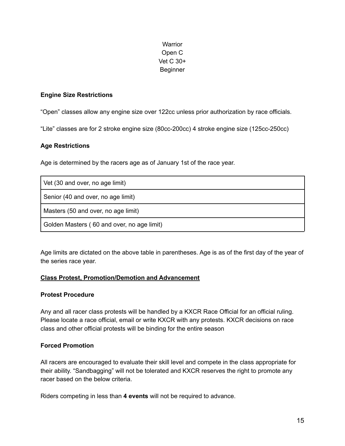#### **Warrior** Open C Vet C 30+ Beginner

#### **Engine Size Restrictions**

"Open" classes allow any engine size over 122cc unless prior authorization by race officials.

"Lite" classes are for 2 stroke engine size (80cc-200cc) 4 stroke engine size (125cc-250cc)

#### **Age Restrictions**

Age is determined by the racers age as of January 1st of the race year.

| Vet (30 and over, no age limit)            |
|--------------------------------------------|
| Senior (40 and over, no age limit)         |
| Masters (50 and over, no age limit)        |
| Golden Masters (60 and over, no age limit) |

Age limits are dictated on the above table in parentheses. Age is as of the first day of the year of the series race year.

#### **Class Protest, Promotion/Demotion and Advancement**

#### **Protest Procedure**

Any and all racer class protests will be handled by a KXCR Race Official for an official ruling. Please locate a race official, email or write KXCR with any protests. KXCR decisions on race class and other official protests will be binding for the entire season

#### **Forced Promotion**

All racers are encouraged to evaluate their skill level and compete in the class appropriate for their ability. "Sandbagging" will not be tolerated and KXCR reserves the right to promote any racer based on the below criteria.

Riders competing in less than **4 events** will not be required to advance.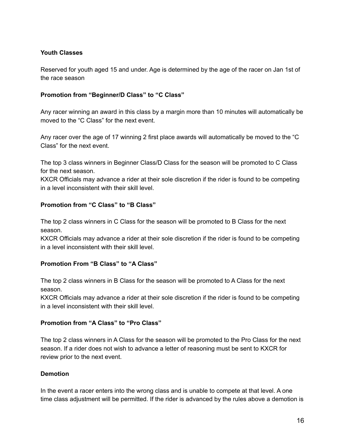#### **Youth Classes**

Reserved for youth aged 15 and under. Age is determined by the age of the racer on Jan 1st of the race season

#### **Promotion from "Beginner/D Class" to "C Class"**

Any racer winning an award in this class by a margin more than 10 minutes will automatically be moved to the "C Class" for the next event.

Any racer over the age of 17 winning 2 first place awards will automatically be moved to the "C Class" for the next event.

The top 3 class winners in Beginner Class/D Class for the season will be promoted to C Class for the next season.

KXCR Officials may advance a rider at their sole discretion if the rider is found to be competing in a level inconsistent with their skill level.

#### **Promotion from "C Class" to "B Class"**

The top 2 class winners in C Class for the season will be promoted to B Class for the next season.

KXCR Officials may advance a rider at their sole discretion if the rider is found to be competing in a level inconsistent with their skill level.

#### **Promotion From "B Class" to "A Class"**

The top 2 class winners in B Class for the season will be promoted to A Class for the next season.

KXCR Officials may advance a rider at their sole discretion if the rider is found to be competing in a level inconsistent with their skill level.

#### **Promotion from "A Class" to "Pro Class"**

The top 2 class winners in A Class for the season will be promoted to the Pro Class for the next season. If a rider does not wish to advance a letter of reasoning must be sent to KXCR for review prior to the next event.

#### **Demotion**

In the event a racer enters into the wrong class and is unable to compete at that level. A one time class adjustment will be permitted. If the rider is advanced by the rules above a demotion is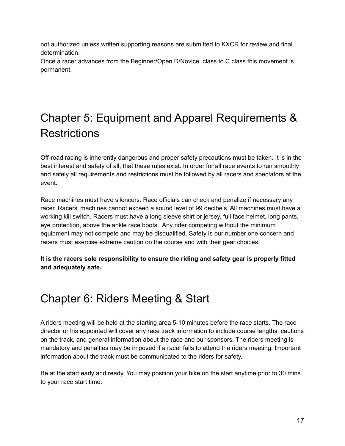not authorized unless written supporting reasons are submitted to KXCR for review and final determination.

Once a racer advances from the Beginner/Open D/Novice class to C class this movement is permanent.

# Chapter 5: Equipment and Apparel Requirements & **Restrictions**

Off-road racing is inherently dangerous and proper safety precautions must be taken. It is in the best interest and safety of all, that these rules exist. In order for all race events to run smoothly and safely all requirements and restrictions must be followed by all racers and spectators at the event.

Race machines must have silencers. Race officials can check and penalize if necessary any racer. Racers' machines cannot exceed a sound level of 99 decibels. All machines must have a working kill switch. Racers must have a long sleeve shirt or jersey, full face helmet, long pants, eye protection, above the ankle race boots. Any rider competing without the minimum equipment may not compete and may be disqualified. Safety is our number one concern and racers must exercise extreme caution on the course and with their gear choices.

**It is the racers sole responsibility to ensure the riding and safety gear is properly fitted and adequately safe.**

### Chapter 6: Riders Meeting & Start

A riders meeting will be held at the starting area 5-10 minutes before the race starts. The race director or his appointed will cover any race track information to include course lengths, cautions on the track, and general information about the race and our sponsors. The riders meeting is mandatory and penalties may be imposed if a racer fails to attend the riders meeting. Important information about the track must be communicated to the riders for safety.

Be at the start early and ready. You may position your bike on the start anytime prior to 30 mins to your race start time.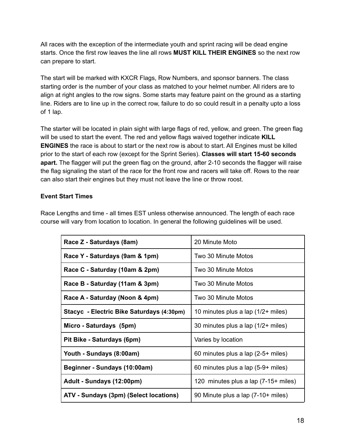All races with the exception of the intermediate youth and sprint racing will be dead engine starts. Once the first row leaves the line all rows **MUST KILL THEIR ENGINES** so the next row can prepare to start.

The start will be marked with KXCR Flags, Row Numbers, and sponsor banners. The class starting order is the number of your class as matched to your helmet number. All riders are to align at right angles to the row signs. Some starts may feature paint on the ground as a starting line. Riders are to line up in the correct row, failure to do so could result in a penalty upto a loss of 1 lap.

The starter will be located in plain sight with large flags of red, yellow, and green. The green flag will be used to start the event. The red and yellow flags waived together indicate **KILL ENGINES** the race is about to start or the next row is about to start. All Engines must be killed prior to the start of each row (except for the Sprint Series). **Classes will start 15-60 seconds apart.** The flagger will put the green flag on the ground, after 2-10 seconds the flagger will raise the flag signaling the start of the race for the front row and racers will take off. Rows to the rear can also start their engines but they must not leave the line or throw roost.

#### **Event Start Times**

Race Lengths and time - all times EST unless otherwise announced. The length of each race course will vary from location to location. In general the following guidelines will be used.

| Race Z - Saturdays (8am)                  | 20 Minute Moto                       |
|-------------------------------------------|--------------------------------------|
| Race Y - Saturdays (9am & 1pm)            | Two 30 Minute Motos                  |
| Race C - Saturday (10am & 2pm)            | Two 30 Minute Motos                  |
| Race B - Saturday (11am & 3pm)            | Two 30 Minute Motos                  |
| Race A - Saturday (Noon & 4pm)            | Two 30 Minute Motos                  |
| Stacyc - Electric Bike Saturdays (4:30pm) | 10 minutes plus a lap (1/2+ miles)   |
| Micro - Saturdays (5pm)                   | 30 minutes plus a lap (1/2+ miles)   |
| Pit Bike - Saturdays (6pm)                | Varies by location                   |
| Youth - Sundays (8:00am)                  | 60 minutes plus a lap $(2-5+$ miles) |
| Beginner - Sundays (10:00am)              | 60 minutes plus a lap (5-9+ miles)   |
| Adult - Sundays (12:00pm)                 | 120 minutes plus a lap (7-15+ miles) |
| ATV - Sundays (3pm) (Select locations)    | 90 Minute plus a lap (7-10+ miles)   |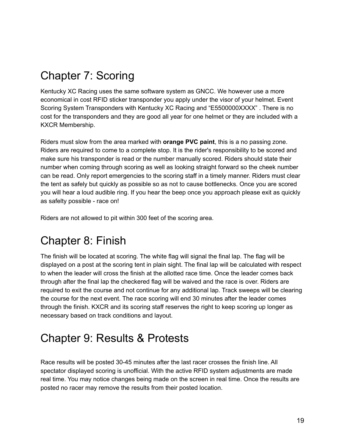## Chapter 7: Scoring

Kentucky XC Racing uses the same software system as GNCC. We however use a more economical in cost RFID sticker transponder you apply under the visor of your helmet. Event Scoring System Transponders with Kentucky XC Racing and "E5500000XXXX" . There is no cost for the transponders and they are good all year for one helmet or they are included with a KXCR Membership.

Riders must slow from the area marked with **orange PVC paint**, this is a no passing zone. Riders are required to come to a complete stop. It is the rider's responsibility to be scored and make sure his transponder is read or the number manually scored. Riders should state their number when coming through scoring as well as looking straight forward so the cheek number can be read. Only report emergencies to the scoring staff in a timely manner. Riders must clear the tent as safely but quickly as possible so as not to cause bottlenecks. Once you are scored you will hear a loud audible ring. If you hear the beep once you approach please exit as quickly as safelty possible - race on!

Riders are not allowed to pit within 300 feet of the scoring area.

### Chapter 8: Finish

The finish will be located at scoring. The white flag will signal the final lap. The flag will be displayed on a post at the scoring tent in plain sight. The final lap will be calculated with respect to when the leader will cross the finish at the allotted race time. Once the leader comes back through after the final lap the checkered flag will be waived and the race is over. Riders are required to exit the course and not continue for any additional lap. Track sweeps will be clearing the course for the next event. The race scoring will end 30 minutes after the leader comes through the finish. KXCR and its scoring staff reserves the right to keep scoring up longer as necessary based on track conditions and layout.

### Chapter 9: Results & Protests

Race results will be posted 30-45 minutes after the last racer crosses the finish line. All spectator displayed scoring is unofficial. With the active RFID system adjustments are made real time. You may notice changes being made on the screen in real time. Once the results are posted no racer may remove the results from their posted location.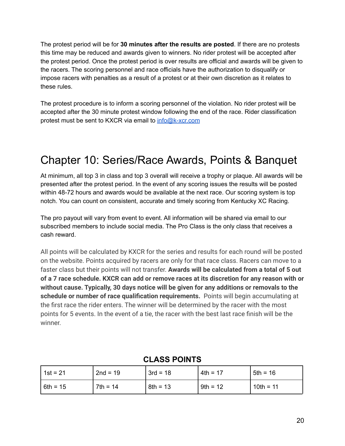The protest period will be for **30 minutes after the results are posted**. If there are no protests this time may be reduced and awards given to winners. No rider protest will be accepted after the protest period. Once the protest period is over results are official and awards will be given to the racers. The scoring personnel and race officials have the authorization to disqualify or impose racers with penalties as a result of a protest or at their own discretion as it relates to these rules.

The protest procedure is to inform a scoring personnel of the violation. No rider protest will be accepted after the 30 minute protest window following the end of the race. Rider classification protest must be sent to KXCR via email to [info@k-xcr.com](mailto:info@k-xcr.com)

### Chapter 10: Series/Race Awards, Points & Banquet

At minimum, all top 3 in class and top 3 overall will receive a trophy or plaque. All awards will be presented after the protest period. In the event of any scoring issues the results will be posted within 48-72 hours and awards would be available at the next race. Our scoring system is top notch. You can count on consistent, accurate and timely scoring from Kentucky XC Racing.

The pro payout will vary from event to event. All information will be shared via email to our subscribed members to include social media. The Pro Class is the only class that receives a cash reward.

All points will be calculated by KXCR for the series and results for each round will be posted on the website. Points acquired by racers are only for that race class. Racers can move to a faster class but their points will not transfer. **Awards will be calculated from a total of 5 out of a 7 race schedule. KXCR can add or remove races at its discretion for any reason with or without cause. Typically, 30 days notice will be given for any additions or removals to the schedule or number of race qualification requirements.** Points will begin accumulating at the first race the rider enters. The winner will be determined by the racer with the most points for 5 events. In the event of a tie, the racer with the best last race finish will be the winner.

| 1st = 21   | $2nd = 19$ | $3rd = 18$ | $4th = 17$ | $5th = 16$  |
|------------|------------|------------|------------|-------------|
| $6th = 15$ | $7th = 14$ | $8th = 13$ | 9th = 12   | $10th = 11$ |

#### **CLASS POINTS**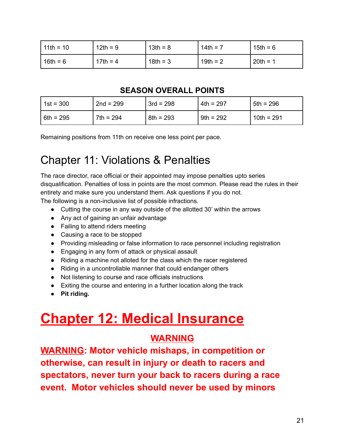| $11th = 10$ | $12th = 9$ | $13th = 8$ | $14th = 7$ | $15th = 6$ |
|-------------|------------|------------|------------|------------|
| $16th = 6$  | $17th = 4$ | $18th = 3$ | $19th = 2$ | $20th = 1$ |

### **SEASON OVERALL POINTS**

| $1st = 300$ | $2nd = 299$ | $3rd = 298$ | $4th = 297$ | $5th = 296$  |
|-------------|-------------|-------------|-------------|--------------|
| $6th = 295$ | $7th = 294$ | $8th = 293$ | $9th = 292$ | $10th = 291$ |

Remaining positions from 11th on receive one less point per pace.

### Chapter 11: Violations & Penalties

The race director, race official or their appointed may impose penalties upto series disqualification. Penalties of loss in points are the most common. Please read the rules in their entirety and make sure you understand them. Ask questions if you do not.

The following is a non-inclusive list of possible infractions.

- Cutting the course in any way outside of the allotted 30' within the arrows
- Any act of gaining an unfair advantage
- Failing to attend riders meeting
- Causing a race to be stopped
- Providing misleading or false information to race personnel including registration
- Engaging in any form of attack or physical assault
- Riding a machine not alloted for the class which the racer registered
- Riding in a uncontrollable manner that could endanger others
- Not listening to course and race officials instructions
- Exiting the course and entering in a further location along the track
- **● Pit riding.**

# **Chapter 12: Medical Insurance**

### **WARNING**

**WARNING: Motor vehicle mishaps, in competition or otherwise, can result in injury or death to racers and spectators, never turn your back to racers during a race event. Motor vehicles should never be used by minors**